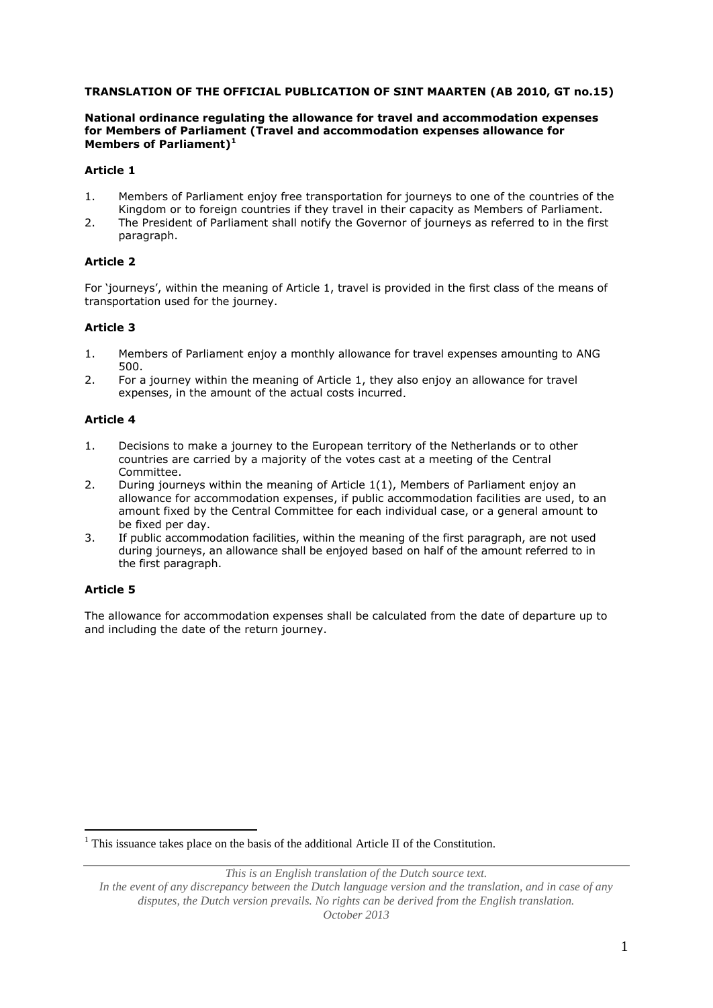#### **TRANSLATION OF THE OFFICIAL PUBLICATION OF SINT MAARTEN (AB 2010, GT no.15)**

#### **National ordinance regulating the allowance for travel and accommodation expenses for Members of Parliament (Travel and accommodation expenses allowance for Members of Parliament) 1**

# **Article 1**

- 1. Members of Parliament enjoy free transportation for journeys to one of the countries of the Kingdom or to foreign countries if they travel in their capacity as Members of Parliament.
- 2. The President of Parliament shall notify the Governor of journeys as referred to in the first paragraph.

# **Article 2**

For 'journeys', within the meaning of Article 1, travel is provided in the first class of the means of transportation used for the journey.

### **Article 3**

- 1. Members of Parliament enjoy a monthly allowance for travel expenses amounting to ANG 500.
- 2. For a journey within the meaning of Article 1, they also enjoy an allowance for travel expenses, in the amount of the actual costs incurred.

#### **Article 4**

- 1. Decisions to make a journey to the European territory of the Netherlands or to other countries are carried by a majority of the votes cast at a meeting of the Central Committee.
- 2. During journeys within the meaning of Article 1(1), Members of Parliament enjoy an allowance for accommodation expenses, if public accommodation facilities are used, to an amount fixed by the Central Committee for each individual case, or a general amount to be fixed per day.
- 3. If public accommodation facilities, within the meaning of the first paragraph, are not used during journeys, an allowance shall be enjoyed based on half of the amount referred to in the first paragraph.

#### **Article 5**

<u>.</u>

The allowance for accommodation expenses shall be calculated from the date of departure up to and including the date of the return journey.

<sup>1</sup> This issuance takes place on the basis of the additional Article II of the Constitution.

*This is an English translation of the Dutch source text.*

*In the event of any discrepancy between the Dutch language version and the translation, and in case of any disputes, the Dutch version prevails. No rights can be derived from the English translation. October 2013*